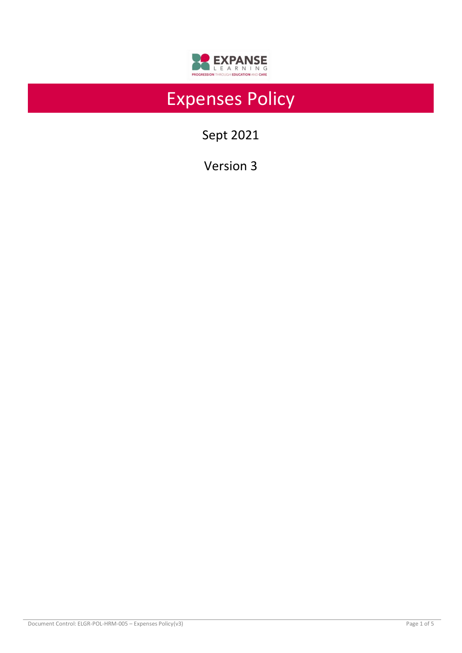

# Expenses Policy

Sept 2021

Version 3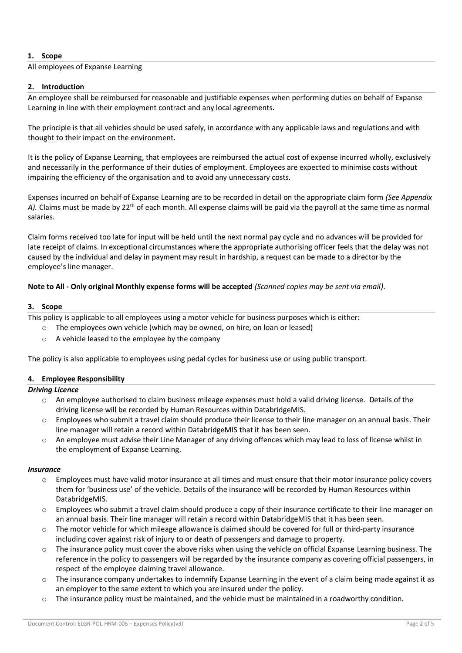# **1. Scope**

### All employees of Expanse Learning

### **2. Introduction**

An employee shall be reimbursed for reasonable and justifiable expenses when performing duties on behalf of Expanse Learning in line with their employment contract and any local agreements.

The principle is that all vehicles should be used safely, in accordance with any applicable laws and regulations and with thought to their impact on the environment.

It is the policy of Expanse Learning, that employees are reimbursed the actual cost of expense incurred wholly, exclusively and necessarily in the performance of their duties of employment. Employees are expected to minimise costs without impairing the efficiency of the organisation and to avoid any unnecessary costs.

Expenses incurred on behalf of Expanse Learning are to be recorded in detail on the appropriate claim form *(See Appendix*  A). Claims must be made by 22<sup>th</sup> of each month. All expense claims will be paid via the payroll at the same time as normal salaries.

Claim forms received too late for input will be held until the next normal pay cycle and no advances will be provided for late receipt of claims. In exceptional circumstances where the appropriate authorising officer feels that the delay was not caused by the individual and delay in payment may result in hardship, a request can be made to a director by the employee's line manager.

## **Note to All - Only original Monthly expense forms will be accepted** *(Scanned copies may be sent via email)*.

## **3. Scope**

This policy is applicable to all employees using a motor vehicle for business purposes which is either:

- o The employees own vehicle (which may be owned, on hire, on loan or leased)
- o A vehicle leased to the employee by the company

The policy is also applicable to employees using pedal cycles for business use or using public transport.

## **4. Employee Responsibility**

#### *Driving Licence*

- $\circ$  An employee authorised to claim business mileage expenses must hold a valid driving license. Details of the driving license will be recorded by Human Resources within DatabridgeMIS.
- Employees who submit a travel claim should produce their license to their line manager on an annual basis. Their line manager will retain a record within DatabridgeMIS that it has been seen.
- $\circ$  An employee must advise their Line Manager of any driving offences which may lead to loss of license whilst in the employment of Expanse Learning.

#### *Insurance*

- o Employees must have valid motor insurance at all times and must ensure that their motor insurance policy covers them for 'business use' of the vehicle. Details of the insurance will be recorded by Human Resources within DatabridgeMIS.
- o Employees who submit a travel claim should produce a copy of their insurance certificate to their line manager on an annual basis. Their line manager will retain a record within DatabridgeMIS that it has been seen.
- o The motor vehicle for which mileage allowance is claimed should be covered for full or third-party insurance including cover against risk of injury to or death of passengers and damage to property.
- o The insurance policy must cover the above risks when using the vehicle on official Expanse Learning business. The reference in the policy to passengers will be regarded by the insurance company as covering official passengers, in respect of the employee claiming travel allowance.
- $\circ$  The insurance company undertakes to indemnify Expanse Learning in the event of a claim being made against it as an employer to the same extent to which you are insured under the policy.
- $\circ$  The insurance policy must be maintained, and the vehicle must be maintained in a roadworthy condition.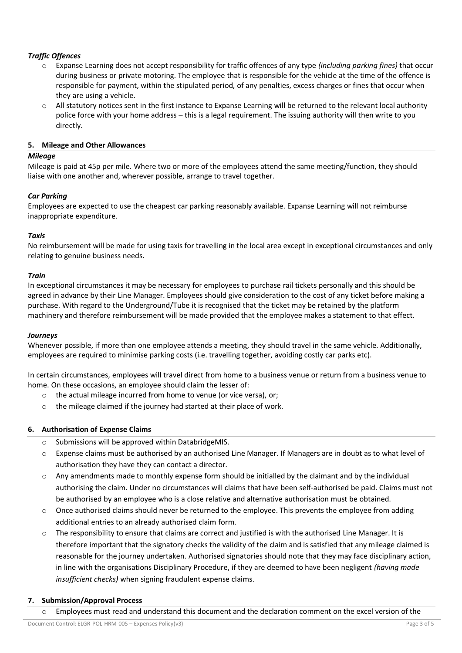# *Traffic Offences*

- o Expanse Learning does not accept responsibility for traffic offences of any type *(including parking fines)* that occur during business or private motoring. The employee that is responsible for the vehicle at the time of the offence is responsible for payment, within the stipulated period, of any penalties, excess charges or fines that occur when they are using a vehicle.
- o All statutory notices sent in the first instance to Expanse Learning will be returned to the relevant local authority police force with your home address – this is a legal requirement. The issuing authority will then write to you directly.

## **5. Mileage and Other Allowances**

#### *Mileage*

Mileage is paid at 45p per mile. Where two or more of the employees attend the same meeting/function, they should liaise with one another and, wherever possible, arrange to travel together.

## *Car Parking*

Employees are expected to use the cheapest car parking reasonably available. Expanse Learning will not reimburse inappropriate expenditure.

#### *Taxis*

No reimbursement will be made for using taxis for travelling in the local area except in exceptional circumstances and only relating to genuine business needs.

#### *Train*

In exceptional circumstances it may be necessary for employees to purchase rail tickets personally and this should be agreed in advance by their Line Manager. Employees should give consideration to the cost of any ticket before making a purchase. With regard to the Underground/Tube it is recognised that the ticket may be retained by the platform machinery and therefore reimbursement will be made provided that the employee makes a statement to that effect.

#### *Journeys*

Whenever possible, if more than one employee attends a meeting, they should travel in the same vehicle. Additionally, employees are required to minimise parking costs (i.e. travelling together, avoiding costly car parks etc).

In certain circumstances, employees will travel direct from home to a business venue or return from a business venue to home. On these occasions, an employee should claim the lesser of:

- o the actual mileage incurred from home to venue (or vice versa), or;
- o the mileage claimed if the journey had started at their place of work.

## **6. Authorisation of Expense Claims**

- o Submissions will be approved within DatabridgeMIS.
- o Expense claims must be authorised by an authorised Line Manager. If Managers are in doubt as to what level of authorisation they have they can contact a director.
- Any amendments made to monthly expense form should be initialled by the claimant and by the individual authorising the claim. Under no circumstances will claims that have been self-authorised be paid. Claims must not be authorised by an employee who is a close relative and alternative authorisation must be obtained.
- Once authorised claims should never be returned to the employee. This prevents the employee from adding additional entries to an already authorised claim form.
- $\circ$  The responsibility to ensure that claims are correct and justified is with the authorised Line Manager. It is therefore important that the signatory checks the validity of the claim and is satisfied that any mileage claimed is reasonable for the journey undertaken. Authorised signatories should note that they may face disciplinary action, in line with the organisations Disciplinary Procedure, if they are deemed to have been negligent *(having made insufficient checks)* when signing fraudulent expense claims.

#### **7. Submission/Approval Process**

Employees must read and understand this document and the declaration comment on the excel version of the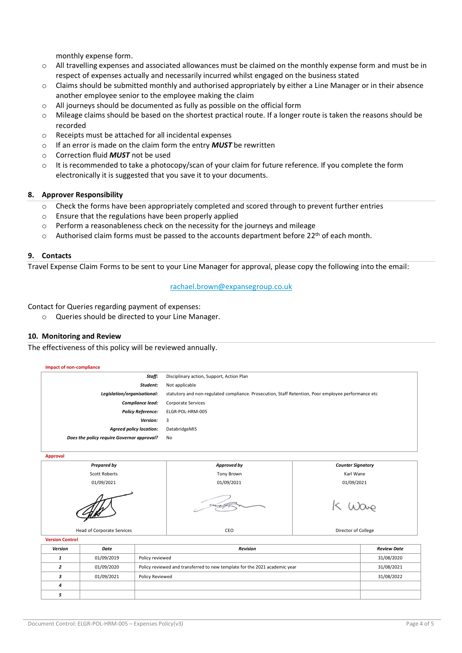monthly expense form.

- $\circ$  All travelling expenses and associated allowances must be claimed on the monthly expense form and must be in respect of expenses actually and necessarily incurred whilst engaged on the business stated
- o Claims should be submitted monthly and authorised appropriately by either a Line Manager or in their absence another employee senior to the employee making the claim
- o All journeys should be documented as fully as possible on the official form
- $\circ$  Mileage claims should be based on the shortest practical route. If a longer route is taken the reasons should be recorded
- o Receipts must be attached for all incidental expenses
- o If an error is made on the claim form the entry *MUST* be rewritten
- o Correction fluid *MUST* not be used
- o It is recommended to take a photocopy/scan of your claim for future reference. If you complete the form electronically it is suggested that you save it to your documents.

#### **8. Approver Responsibility**

- Check the forms have been appropriately completed and scored through to prevent further entries
- o Ensure that the regulations have been properly applied
- o Perform a reasonableness check on the necessity for the journeys and mileage
- o Authorised claim forms must be passed to the accounts department before 22<sup>th</sup> of each month.

#### **9. Contacts**

Travel Expense Claim Forms to be sent to your Line Manager for approval, please copy the following into the email:

#### [rachael.brown@expansegroup.co.uk](mailto:finance@themediacollege.co.uk)

Contact for Queries regarding payment of expenses:

o Queries should be directed to your Line Manager.

#### **10. Monitoring and Review**

The effectiveness of this policy will be reviewed annually.



**Approval**



**Version Control**

| Version | Date       | <b>Revision</b>                                                            | <b>Review Date</b> |
|---------|------------|----------------------------------------------------------------------------|--------------------|
|         | 01/09/2019 | Policy reviewed                                                            | 31/08/2020         |
|         | 01/09/2020 | Policy reviewed and transferred to new template for the 2021 academic year | 31/08/2021         |
|         | 01/09/2021 | Policy Reviewed                                                            | 31/08/2022         |
|         |            |                                                                            |                    |
|         |            |                                                                            |                    |